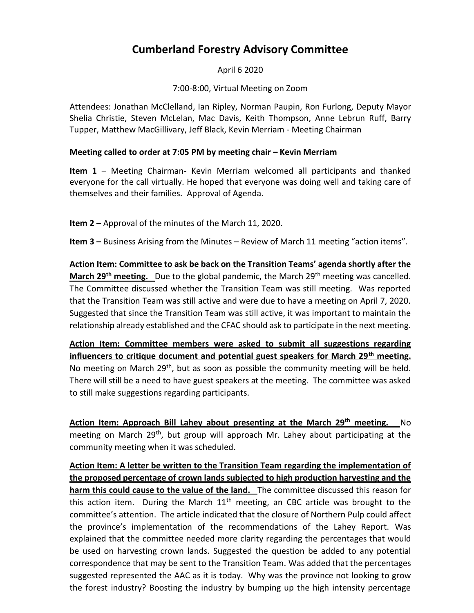## **Cumberland Forestry Advisory Committee**

April 6 2020

7:00-8:00, Virtual Meeting on Zoom

Attendees: Jonathan McClelland, Ian Ripley, Norman Paupin, Ron Furlong, Deputy Mayor Shelia Christie, Steven McLelan, Mac Davis, Keith Thompson, Anne Lebrun Ruff, Barry Tupper, Matthew MacGillivary, Jeff Black, Kevin Merriam - Meeting Chairman

## **Meeting called to order at 7:05 PM by meeting chair – Kevin Merriam**

**Item 1** – Meeting Chairman- Kevin Merriam welcomed all participants and thanked everyone for the call virtually. He hoped that everyone was doing well and taking care of themselves and their families. Approval of Agenda.

**Item 2 –** Approval of the minutes of the March 11, 2020.

**Item 3 –** Business Arising from the Minutes – Review of March 11 meeting "action items".

**Action Item: Committee to ask be back on the Transition Teams' agenda shortly after the March 29<sup>th</sup> meeting.** Due to the global pandemic, the March 29<sup>th</sup> meeting was cancelled. The Committee discussed whether the Transition Team was still meeting. Was reported that the Transition Team was still active and were due to have a meeting on April 7, 2020. Suggested that since the Transition Team was still active, it was important to maintain the relationship already established and the CFAC should ask to participate in the next meeting.

**Action Item: Committee members were asked to submit all suggestions regarding influencers to critique document and potential guest speakers for March 29th meeting.**  No meeting on March 29<sup>th</sup>, but as soon as possible the community meeting will be held. There will still be a need to have guest speakers at the meeting. The committee was asked to still make suggestions regarding participants.

**Action Item: Approach Bill Lahey about presenting at the March 29th meeting.** No meeting on March 29<sup>th</sup>, but group will approach Mr. Lahey about participating at the community meeting when it was scheduled.

**Action Item: A letter be written to the Transition Team regarding the implementation of the proposed percentage of crown lands subjected to high production harvesting and the harm this could cause to the value of the land.** The committee discussed this reason for this action item. During the March  $11<sup>th</sup>$  meeting, an CBC article was brought to the committee's attention. The article indicated that the closure of Northern Pulp could affect the province's implementation of the recommendations of the Lahey Report. Was explained that the committee needed more clarity regarding the percentages that would be used on harvesting crown lands. Suggested the question be added to any potential correspondence that may be sent to the Transition Team. Was added that the percentages suggested represented the AAC as it is today. Why was the province not looking to grow the forest industry? Boosting the industry by bumping up the high intensity percentage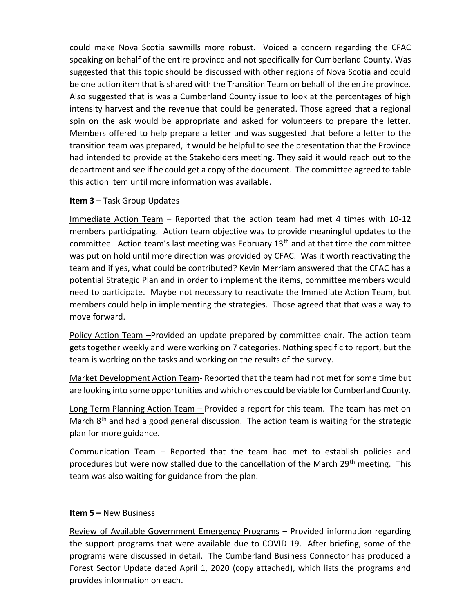could make Nova Scotia sawmills more robust. Voiced a concern regarding the CFAC speaking on behalf of the entire province and not specifically for Cumberland County. Was suggested that this topic should be discussed with other regions of Nova Scotia and could be one action item that is shared with the Transition Team on behalf of the entire province. Also suggested that is was a Cumberland County issue to look at the percentages of high intensity harvest and the revenue that could be generated. Those agreed that a regional spin on the ask would be appropriate and asked for volunteers to prepare the letter. Members offered to help prepare a letter and was suggested that before a letter to the transition team was prepared, it would be helpful to see the presentation that the Province had intended to provide at the Stakeholders meeting. They said it would reach out to the department and see if he could get a copy of the document. The committee agreed to table this action item until more information was available.

## **Item 3 –** Task Group Updates

Immediate Action Team – Reported that the action team had met 4 times with 10-12 members participating. Action team objective was to provide meaningful updates to the committee. Action team's last meeting was February  $13<sup>th</sup>$  and at that time the committee was put on hold until more direction was provided by CFAC. Was it worth reactivating the team and if yes, what could be contributed? Kevin Merriam answered that the CFAC has a potential Strategic Plan and in order to implement the items, committee members would need to participate. Maybe not necessary to reactivate the Immediate Action Team, but members could help in implementing the strategies. Those agreed that that was a way to move forward.

Policy Action Team - Provided an update prepared by committee chair. The action team gets together weekly and were working on 7 categories. Nothing specific to report, but the team is working on the tasks and working on the results of the survey.

Market Development Action Team- Reported that the team had not met for some time but are looking into some opportunities and which ones could be viable for Cumberland County.

Long Term Planning Action Team – Provided a report for this team. The team has met on March 8<sup>th</sup> and had a good general discussion. The action team is waiting for the strategic plan for more guidance.

Communication Team – Reported that the team had met to establish policies and procedures but were now stalled due to the cancellation of the March 29<sup>th</sup> meeting. This team was also waiting for guidance from the plan.

## **Item 5 –** New Business

Review of Available Government Emergency Programs - Provided information regarding the support programs that were available due to COVID 19. After briefing, some of the programs were discussed in detail. The Cumberland Business Connector has produced a Forest Sector Update dated April 1, 2020 (copy attached), which lists the programs and provides information on each.